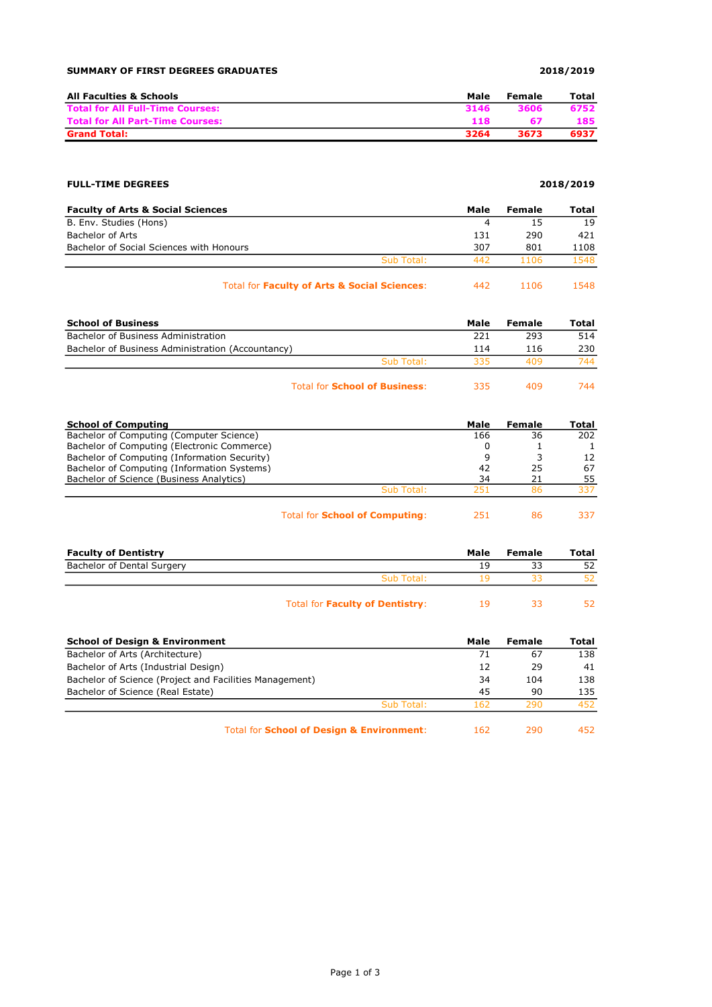## SUMMARY OF FIRST DEGREES GRADUATES **2018/2019**

| All Faculties & Schools                 | Male | Female | Total |
|-----------------------------------------|------|--------|-------|
| <b>Total for All Full-Time Courses:</b> | 3146 | 3606   | 6752  |
| <b>Total for All Part-Time Courses:</b> | 118  |        | 185   |
| <b>Grand Total:</b>                     | 3264 | 3673   | 6937  |

## FULL-TIME DEGREES 2018/2019

| <b>Faculty of Arts &amp; Social Sciences</b> |                                                         | Male | Female | Total |
|----------------------------------------------|---------------------------------------------------------|------|--------|-------|
| B. Env. Studies (Hons)                       |                                                         |      | 15     | 19    |
| Bachelor of Arts                             |                                                         | 131  | 290    | 421   |
| Bachelor of Social Sciences with Honours     |                                                         | 307  | 801    | 1108  |
|                                              | Sub Total:                                              | 442  | 1106   | 1548  |
|                                              | <b>Total for Faculty of Arts &amp; Social Sciences:</b> | 442  | 1106   | 1548  |

| <b>School of Business</b>                         |            | Male | Female | Total |
|---------------------------------------------------|------------|------|--------|-------|
| Bachelor of Business Administration               |            | 221  | 293    | 514   |
| Bachelor of Business Administration (Accountancy) |            | 114  | 116    | 230   |
|                                                   | Sub Total: | 335  | 409    | 744   |
|                                                   |            |      |        |       |

| <b>Total for School of Business:</b> | 335 | 409 | 744 |
|--------------------------------------|-----|-----|-----|
|                                      |     |     |     |

| <b>School of Computing</b>                   |                                       | Male | Female | Total |
|----------------------------------------------|---------------------------------------|------|--------|-------|
| Bachelor of Computing (Computer Science)     |                                       | 166  | 36     | 202   |
| Bachelor of Computing (Electronic Commerce)  |                                       |      |        |       |
| Bachelor of Computing (Information Security) |                                       | 9    |        | 12    |
| Bachelor of Computing (Information Systems)  |                                       | 42   | 25     | 67    |
| Bachelor of Science (Business Analytics)     |                                       | 34   | 21     | 55    |
|                                              | Sub Total:                            | 251  | 86     | 337   |
|                                              | Total for <b>School of Computing:</b> | 251  | 86     | 337   |

| <b>Faculty of Dentistry</b> |                                        | Male | Female | Total |
|-----------------------------|----------------------------------------|------|--------|-------|
| Bachelor of Dental Surgery  |                                        | 19   | 33     | 52    |
|                             | Sub Total:                             | 1 Q  |        |       |
|                             | Total for <b>Faculty of Dentistry:</b> | 19   |        |       |

| <b>School of Design &amp; Environment</b>               | Male | Female | Total |
|---------------------------------------------------------|------|--------|-------|
| Bachelor of Arts (Architecture)                         | 71   | 67     | 138   |
| Bachelor of Arts (Industrial Design)                    | 12   | 29     | 41    |
| Bachelor of Science (Project and Facilities Management) | 34   | 104    | 138   |
| Bachelor of Science (Real Estate)                       | 45   | 90     | 135   |
| Sub Total:                                              | 162  | 290    | 452   |
| Total for School of Design & Environment:               | 162  | 290    | 452.  |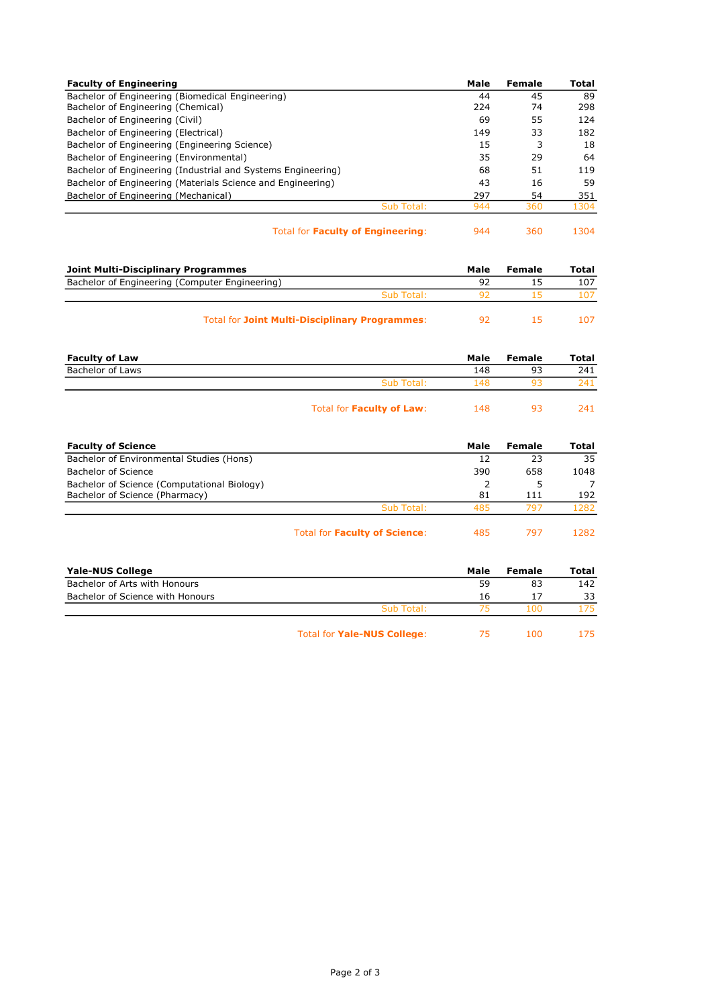| <b>Faculty of Engineering</b>                                |            | Male | Female | Total |
|--------------------------------------------------------------|------------|------|--------|-------|
| Bachelor of Engineering (Biomedical Engineering)             |            | 44   | 45     | 89    |
| Bachelor of Engineering (Chemical)                           |            | 224  | 74     | 298   |
| Bachelor of Engineering (Civil)                              |            | 69   | 55     | 124   |
| Bachelor of Engineering (Electrical)                         |            | 149  | 33     | 182   |
| Bachelor of Engineering (Engineering Science)                |            | 15   | 3      | 18    |
| Bachelor of Engineering (Environmental)                      |            | 35   | 29     | 64    |
| Bachelor of Engineering (Industrial and Systems Engineering) |            | 68   | 51     | 119   |
| Bachelor of Engineering (Materials Science and Engineering)  |            | 43   | 16     | 59    |
| Bachelor of Engineering (Mechanical)                         |            | 297  | 54     | 351   |
|                                                              | Sub Total: | 944  | 360    | 1304  |
|                                                              |            |      |        |       |

|  | Total for <b>Faculty of Engineering:</b> | 944 |
|--|------------------------------------------|-----|
|  |                                          |     |

360 1304

| Joint Multi-Disciplinary Programmes                   |    | Female | Total |
|-------------------------------------------------------|----|--------|-------|
| Bachelor of Engineering (Computer Engineering)        | 92 |        | 107   |
| Sub Total:                                            |    |        |       |
| <b>Total for Joint Multi-Disciplinary Programmes:</b> |    |        |       |

| <b>Faculty of Law</b> |                                  | Male | Female | Total |
|-----------------------|----------------------------------|------|--------|-------|
| Bachelor of Laws      |                                  | 148  | 93     | 241   |
|                       | Sub Total:                       | 148  | ٩R     | 241   |
|                       | Total for <b>Faculty of Law:</b> | 148  | 93     | 241   |

| <b>Faculty of Science</b>                   |                                      | Male | Female | Total |
|---------------------------------------------|--------------------------------------|------|--------|-------|
| Bachelor of Environmental Studies (Hons)    |                                      | 12   | 23     | 35    |
| Bachelor of Science                         |                                      | 390  | 658    | 1048  |
| Bachelor of Science (Computational Biology) |                                      |      |        |       |
| Bachelor of Science (Pharmacy)              |                                      | 81   | 111    | 192   |
|                                             | Sub Total:                           | 485  | 797    | 1282  |
|                                             | <b>Total for Faculty of Science:</b> | 485  | 797    | 1282  |

| <b>Yale-NUS College</b>          |                                    | Male | Female | Total |
|----------------------------------|------------------------------------|------|--------|-------|
| Bachelor of Arts with Honours    |                                    | 59   | 83     | 142   |
| Bachelor of Science with Honours |                                    | 16   | 17     | 33    |
|                                  | Sub Total:                         | 75   | 100    | 175.  |
|                                  | <b>Total for Yale-NUS College:</b> | 75   | 100    | 175.  |